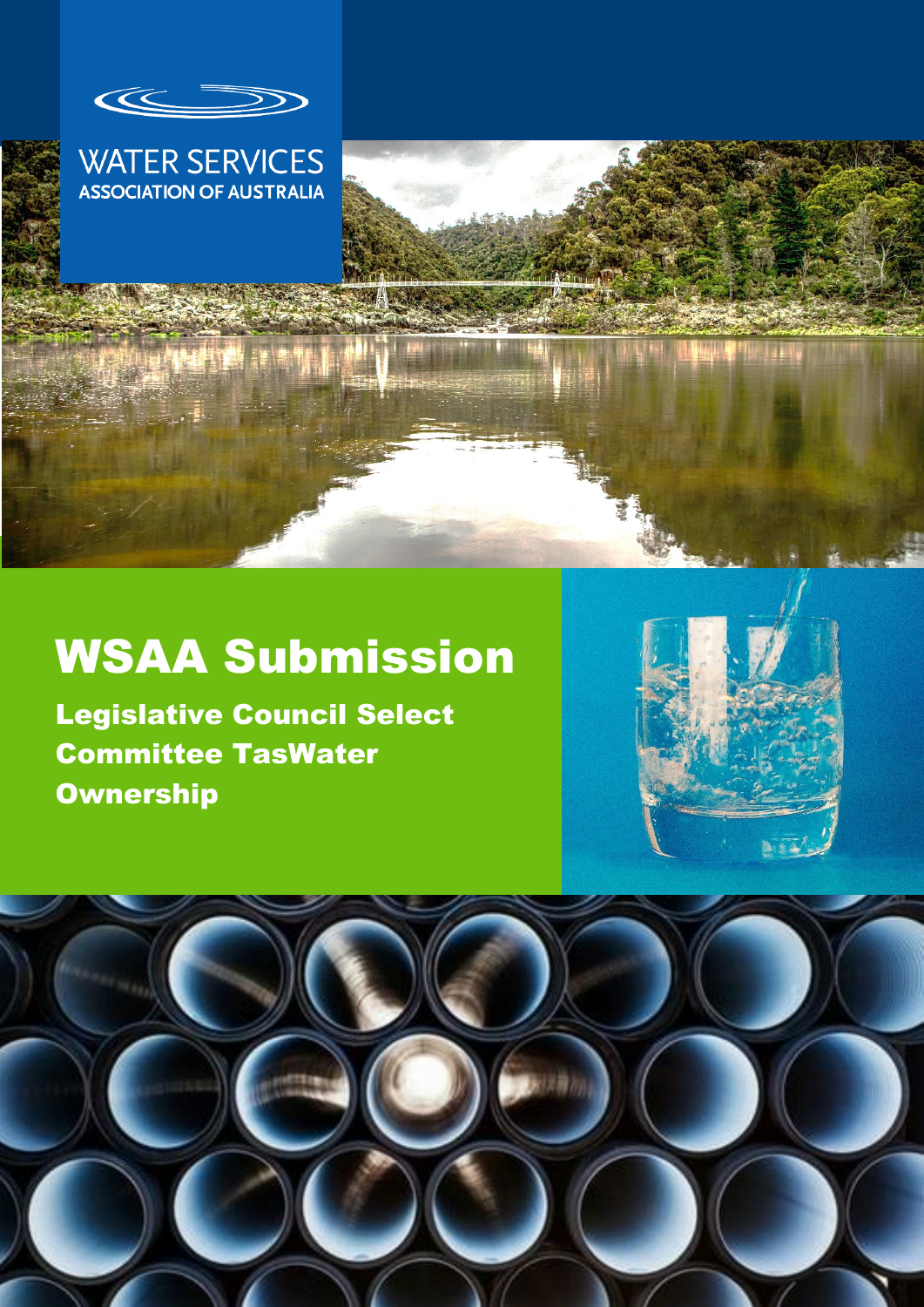



# WSAA Submission

Legislative Council Select Committee TasWater **Ownership** 



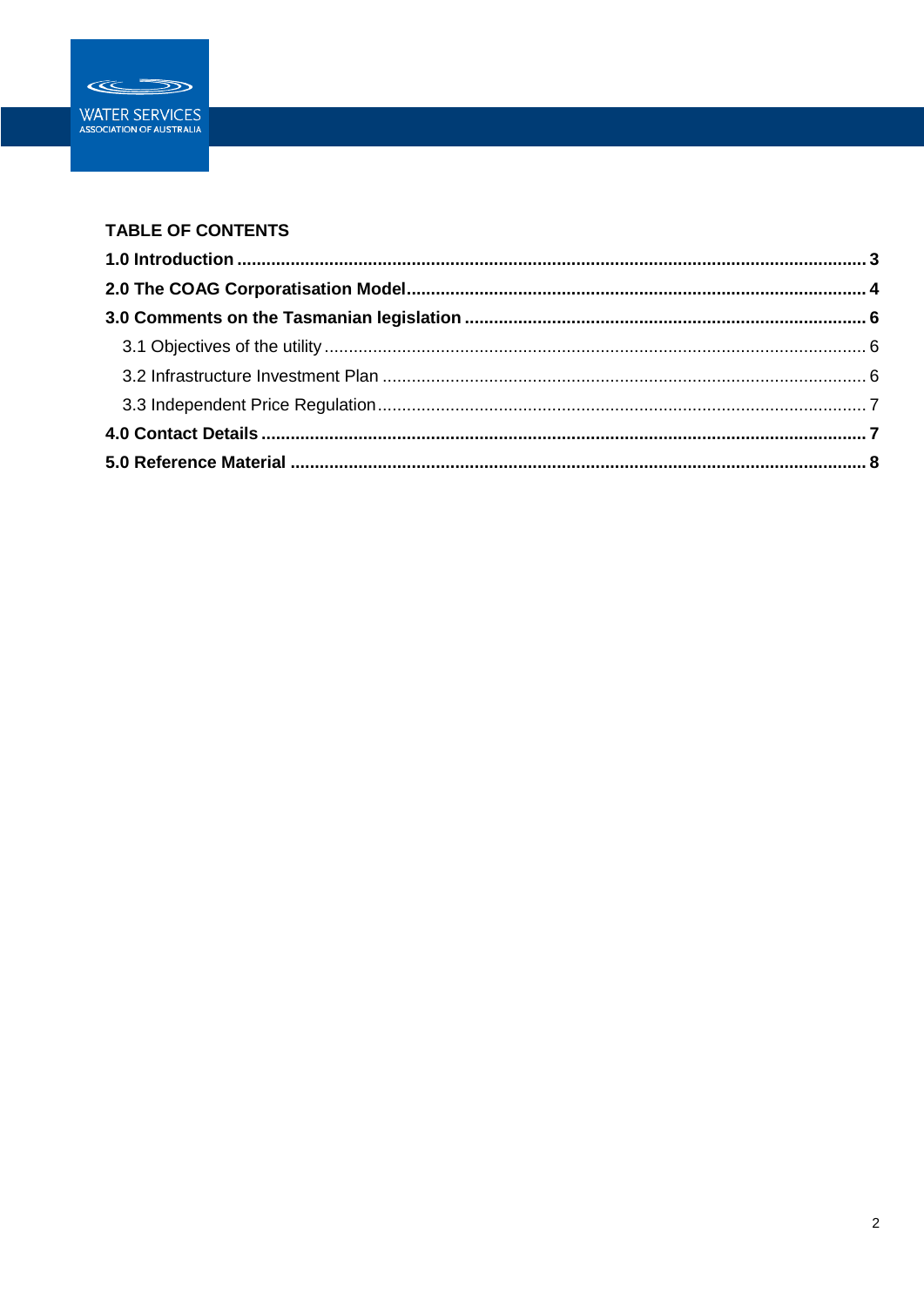

### **TABLE OF CONTENTS**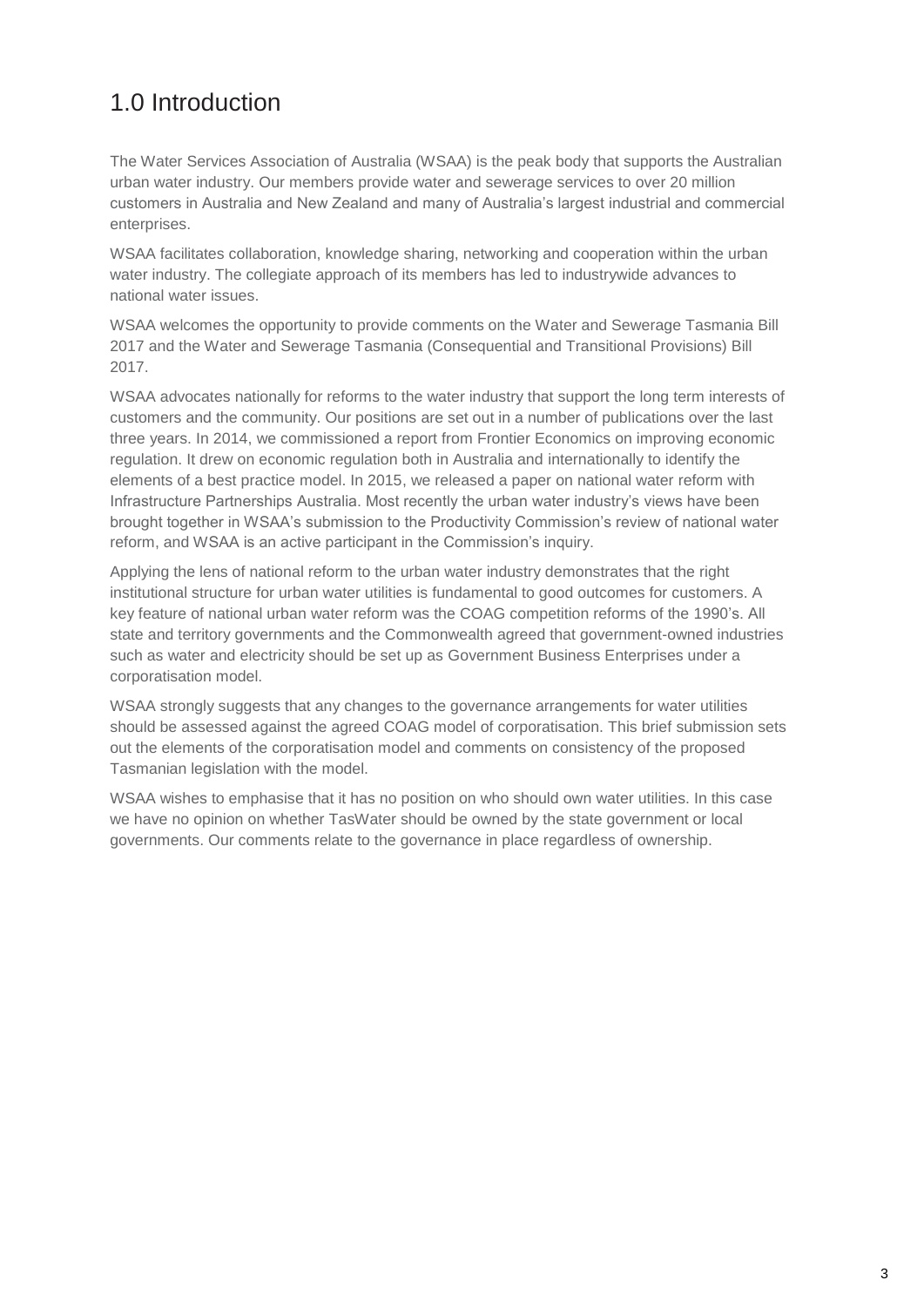# <span id="page-2-0"></span>1.0 Introduction

The Water Services Association of Australia (WSAA) is the peak body that supports the Australian urban water industry. Our members provide water and sewerage services to over 20 million customers in Australia and New Zealand and many of Australia's largest industrial and commercial enterprises.

WSAA facilitates collaboration, knowledge sharing, networking and cooperation within the urban water industry. The collegiate approach of its members has led to industrywide advances to national water issues.

WSAA welcomes the opportunity to provide comments on the Water and Sewerage Tasmania Bill 2017 and the Water and Sewerage Tasmania (Consequential and Transitional Provisions) Bill 2017.

WSAA advocates nationally for reforms to the water industry that support the long term interests of customers and the community. Our positions are set out in a number of publications over the last three years. In 2014, we commissioned a report from Frontier Economics on improving economic regulation. It drew on economic regulation both in Australia and internationally to identify the elements of a best practice model. In 2015, we released a paper on national water reform with Infrastructure Partnerships Australia. Most recently the urban water industry's views have been brought together in WSAA's submission to the Productivity Commission's review of national water reform, and WSAA is an active participant in the Commission's inquiry.

Applying the lens of national reform to the urban water industry demonstrates that the right institutional structure for urban water utilities is fundamental to good outcomes for customers. A key feature of national urban water reform was the COAG competition reforms of the 1990's. All state and territory governments and the Commonwealth agreed that government-owned industries such as water and electricity should be set up as Government Business Enterprises under a corporatisation model.

WSAA strongly suggests that any changes to the governance arrangements for water utilities should be assessed against the agreed COAG model of corporatisation. This brief submission sets out the elements of the corporatisation model and comments on consistency of the proposed Tasmanian legislation with the model.

WSAA wishes to emphasise that it has no position on who should own water utilities. In this case we have no opinion on whether TasWater should be owned by the state government or local governments. Our comments relate to the governance in place regardless of ownership.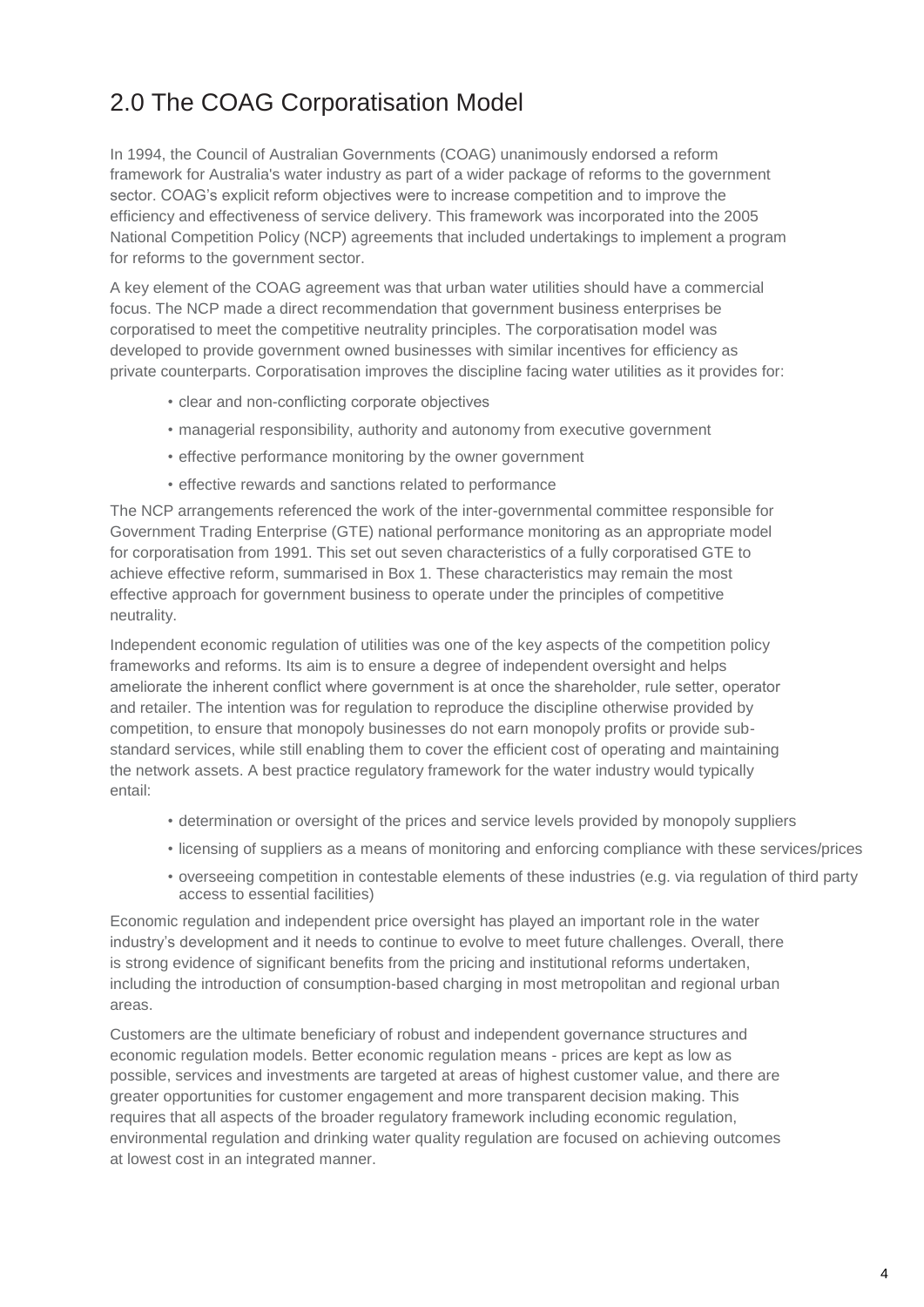# <span id="page-3-0"></span>2.0 The COAG Corporatisation Model

In 1994, the Council of Australian Governments (COAG) unanimously endorsed a reform framework for Australia's water industry as part of a wider package of reforms to the government sector. COAG's explicit reform objectives were to increase competition and to improve the efficiency and effectiveness of service delivery. This framework was incorporated into the 2005 National Competition Policy (NCP) agreements that included undertakings to implement a program for reforms to the government sector.

A key element of the COAG agreement was that urban water utilities should have a commercial focus. The NCP made a direct recommendation that government business enterprises be corporatised to meet the competitive neutrality principles. The corporatisation model was developed to provide government owned businesses with similar incentives for efficiency as private counterparts. Corporatisation improves the discipline facing water utilities as it provides for:

- clear and non-conflicting corporate objectives
- managerial responsibility, authority and autonomy from executive government
- effective performance monitoring by the owner government
- effective rewards and sanctions related to performance

The NCP arrangements referenced the work of the inter-governmental committee responsible for Government Trading Enterprise (GTE) national performance monitoring as an appropriate model for corporatisation from 1991. This set out seven characteristics of a fully corporatised GTE to achieve effective reform, summarised in Box 1. These characteristics may remain the most effective approach for government business to operate under the principles of competitive neutrality.

Independent economic regulation of utilities was one of the key aspects of the competition policy frameworks and reforms. Its aim is to ensure a degree of independent oversight and helps ameliorate the inherent conflict where government is at once the shareholder, rule setter, operator and retailer. The intention was for regulation to reproduce the discipline otherwise provided by competition, to ensure that monopoly businesses do not earn monopoly profits or provide substandard services, while still enabling them to cover the efficient cost of operating and maintaining the network assets. A best practice regulatory framework for the water industry would typically entail:

- determination or oversight of the prices and service levels provided by monopoly suppliers
- licensing of suppliers as a means of monitoring and enforcing compliance with these services/prices
- overseeing competition in contestable elements of these industries (e.g. via regulation of third party access to essential facilities)

Economic regulation and independent price oversight has played an important role in the water industry's development and it needs to continue to evolve to meet future challenges. Overall, there is strong evidence of significant benefits from the pricing and institutional reforms undertaken, including the introduction of consumption-based charging in most metropolitan and regional urban areas.

Customers are the ultimate beneficiary of robust and independent governance structures and economic regulation models. Better economic regulation means - prices are kept as low as possible, services and investments are targeted at areas of highest customer value, and there are greater opportunities for customer engagement and more transparent decision making. This requires that all aspects of the broader regulatory framework including economic regulation, environmental regulation and drinking water quality regulation are focused on achieving outcomes at lowest cost in an integrated manner.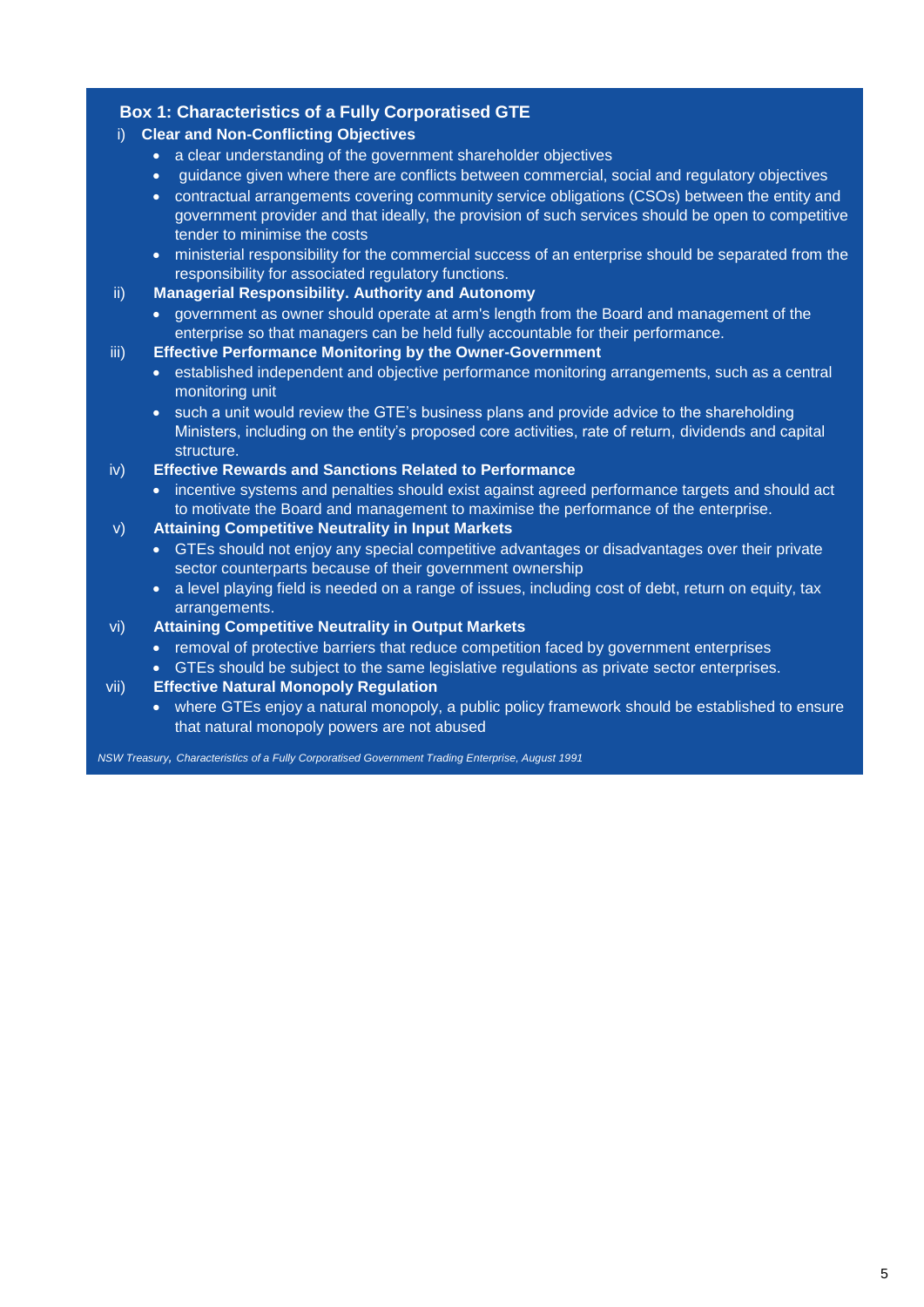### **Box 1: Characteristics of a Fully Corporatised GTE**

### i) **Clear and Non-Conflicting Objectives**

- a clear understanding of the government shareholder objectives
- guidance given where there are conflicts between commercial, social and regulatory objectives
- contractual arrangements covering community service obligations (CSOs) between the entity and government provider and that ideally, the provision of such services should be open to competitive tender to minimise the costs
- ministerial responsibility for the commercial success of an enterprise should be separated from the responsibility for associated regulatory functions.

#### ii) **Managerial Responsibility. Authority and Autonomy**

 government as owner should operate at arm's length from the Board and management of the enterprise so that managers can be held fully accountable for their performance.

#### iii) **Effective Performance Monitoring by the Owner-Government**

- established independent and objective performance monitoring arrangements, such as a central monitoring unit
- such a unit would review the GTE's business plans and provide advice to the shareholding Ministers, including on the entity's proposed core activities, rate of return, dividends and capital structure.

#### iv) **Effective Rewards and Sanctions Related to Performance**

• incentive systems and penalties should exist against agreed performance targets and should act to motivate the Board and management to maximise the performance of the enterprise.

#### v) **Attaining Competitive Neutrality in Input Markets**

- GTEs should not enjoy any special competitive advantages or disadvantages over their private sector counterparts because of their government ownership
- a level playing field is needed on a range of issues, including cost of debt, return on equity, tax arrangements.

#### vi) **Attaining Competitive Neutrality in Output Markets**

- removal of protective barriers that reduce competition faced by government enterprises
- GTEs should be subject to the same legislative regulations as private sector enterprises.

#### vii) **Effective Natural Monopoly Regulation**

• where GTEs enjoy a natural monopoly, a public policy framework should be established to ensure that natural monopoly powers are not abused

*NSW Treasury, Characteristics of a Fully Corporatised Government Trading Enterprise, August 1991*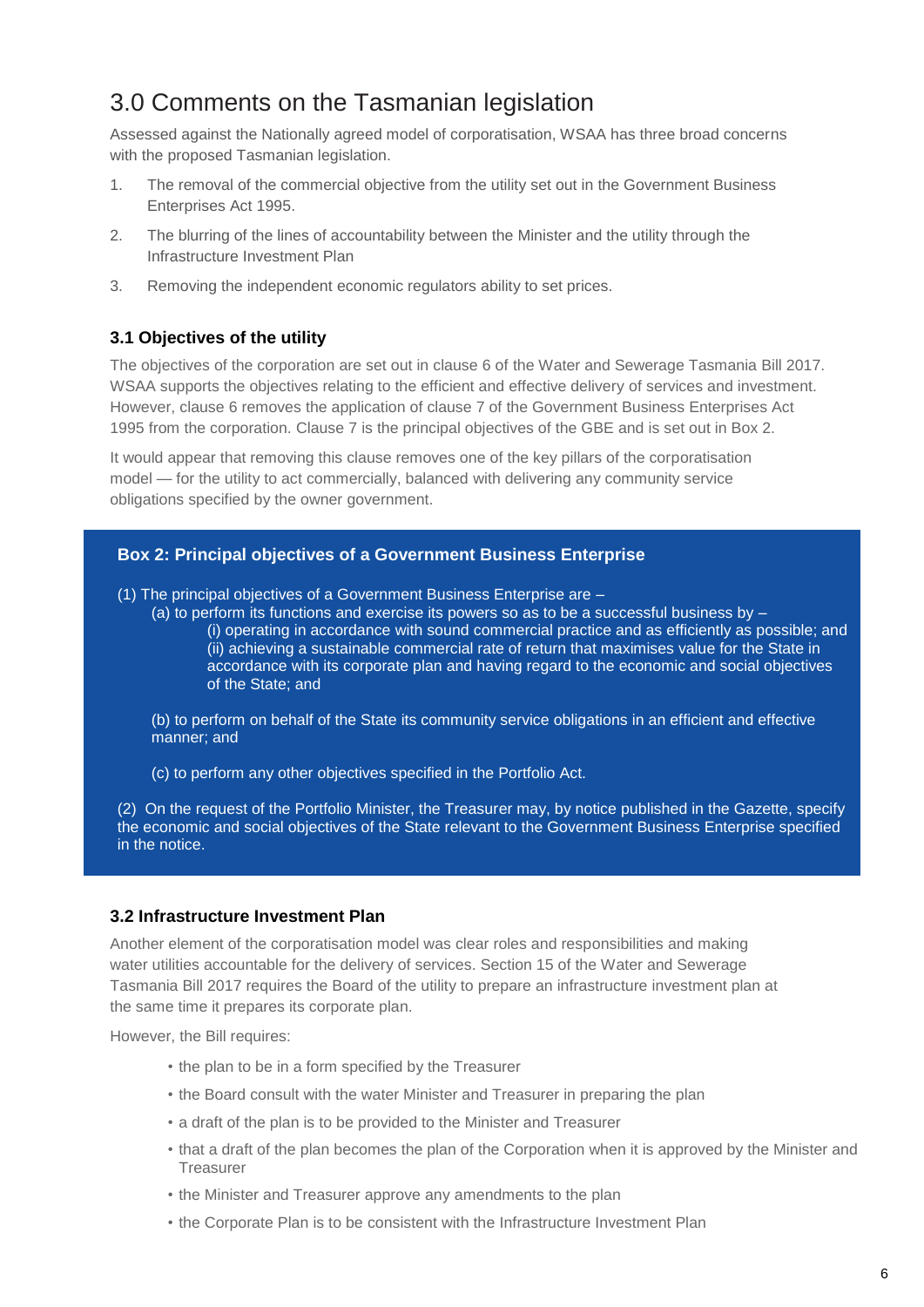## <span id="page-5-0"></span>3.0 Comments on the Tasmanian legislation

Assessed against the Nationally agreed model of corporatisation, WSAA has three broad concerns with the proposed Tasmanian legislation.

- 1. The removal of the commercial objective from the utility set out in the Government Business Enterprises Act 1995.
- 2. The blurring of the lines of accountability between the Minister and the utility through the Infrastructure Investment Plan
- 3. Removing the independent economic regulators ability to set prices.

#### <span id="page-5-1"></span>**3.1 Objectives of the utility**

The objectives of the corporation are set out in clause 6 of the Water and Sewerage Tasmania Bill 2017. WSAA supports the objectives relating to the efficient and effective delivery of services and investment. However, clause 6 removes the application of clause 7 of the Government Business Enterprises Act 1995 from the corporation. Clause 7 is the principal objectives of the GBE and is set out in Box 2.

It would appear that removing this clause removes one of the key pillars of the corporatisation model — for the utility to act commercially, balanced with delivering any community service obligations specified by the owner government.

#### **Box 2: Principal objectives of a Government Business Enterprise**

(1) The principal objectives of a Government Business Enterprise are –

(a) to perform its functions and exercise its powers so as to be a successful business by – (i) operating in accordance with sound commercial practice and as efficiently as possible; and (ii) achieving a sustainable commercial rate of return that maximises value for the State in accordance with its corporate plan and having regard to the economic and social objectives of the State; and

(b) to perform on behalf of the State its community service obligations in an efficient and effective manner; and

(c) to perform any other objectives specified in the Portfolio Act.

(2) On the request of the Portfolio Minister, the Treasurer may, by notice published in the Gazette, specify the economic and social objectives of the State relevant to the Government Business Enterprise specified in the notice.

#### <span id="page-5-2"></span>**3.2 Infrastructure Investment Plan**

Another element of the corporatisation model was clear roles and responsibilities and making water utilities accountable for the delivery of services. Section 15 of the Water and Sewerage Tasmania Bill 2017 requires the Board of the utility to prepare an infrastructure investment plan at the same time it prepares its corporate plan.

However, the Bill requires:

- the plan to be in a form specified by the Treasurer
- the Board consult with the water Minister and Treasurer in preparing the plan
- a draft of the plan is to be provided to the Minister and Treasurer
- that a draft of the plan becomes the plan of the Corporation when it is approved by the Minister and **Treasurer**
- the Minister and Treasurer approve any amendments to the plan
- the Corporate Plan is to be consistent with the Infrastructure Investment Plan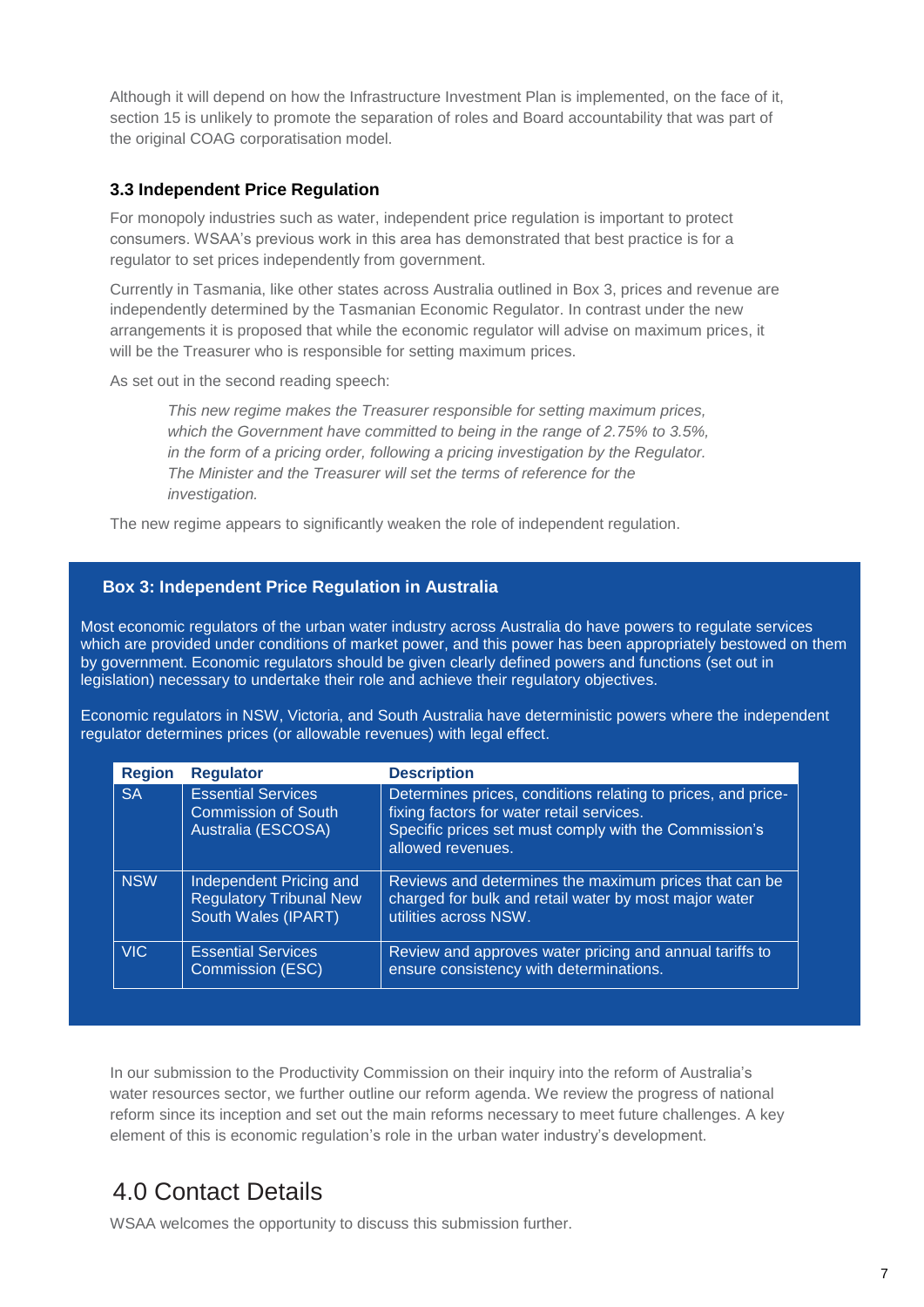Although it will depend on how the Infrastructure Investment Plan is implemented, on the face of it, section 15 is unlikely to promote the separation of roles and Board accountability that was part of the original COAG corporatisation model.

### <span id="page-6-0"></span>**3.3 Independent Price Regulation**

For monopoly industries such as water, independent price regulation is important to protect consumers. WSAA's previous work in this area has demonstrated that best practice is for a regulator to set prices independently from government.

Currently in Tasmania, like other states across Australia outlined in Box 3, prices and revenue are independently determined by the Tasmanian Economic Regulator. In contrast under the new arrangements it is proposed that while the economic regulator will advise on maximum prices, it will be the Treasurer who is responsible for setting maximum prices.

As set out in the second reading speech:

*This new regime makes the Treasurer responsible for setting maximum prices, which the Government have committed to being in the range of 2.75% to 3.5%, in the form of a pricing order, following a pricing investigation by the Regulator. The Minister and the Treasurer will set the terms of reference for the investigation.* 

The new regime appears to significantly weaken the role of independent regulation.

#### **Box 3: Independent Price Regulation in Australia**

Most economic regulators of the urban water industry across Australia do have powers to regulate services which are provided under conditions of market power, and this power has been appropriately bestowed on them by government. Economic regulators should be given clearly defined powers and functions (set out in legislation) necessary to undertake their role and achieve their regulatory objectives.

Economic regulators in NSW, Victoria, and South Australia have deterministic powers where the independent regulator determines prices (or allowable revenues) with legal effect.

| <b>Region</b> | <b>Regulator</b>                                                                 | <b>Description</b>                                                                                                                                                                      |
|---------------|----------------------------------------------------------------------------------|-----------------------------------------------------------------------------------------------------------------------------------------------------------------------------------------|
| <b>SA</b>     | <b>Essential Services</b><br><b>Commission of South</b><br>Australia (ESCOSA)    | Determines prices, conditions relating to prices, and price-<br>fixing factors for water retail services.<br>Specific prices set must comply with the Commission's<br>allowed revenues. |
| <b>NSW</b>    | Independent Pricing and<br><b>Regulatory Tribunal New</b><br>South Wales (IPART) | Reviews and determines the maximum prices that can be<br>charged for bulk and retail water by most major water<br>utilities across NSW.                                                 |
| VIC.          | <b>Essential Services</b><br>Commission (ESC)                                    | Review and approves water pricing and annual tariffs to<br>ensure consistency with determinations.                                                                                      |

In our submission to the Productivity Commission on their inquiry into the reform of Australia's water resources sector, we further outline our reform agenda. We review the progress of national reform since its inception and set out the main reforms necessary to meet future challenges. A key element of this is economic regulation's role in the urban water industry's development.

### <span id="page-6-1"></span>4.0 Contact Details

WSAA welcomes the opportunity to discuss this submission further.